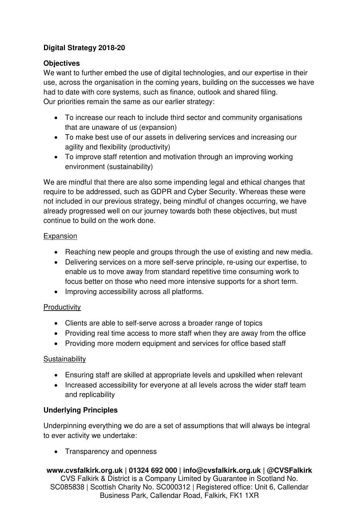# **Digital Strategy 2018-20**

### **Objectives**

We want to further embed the use of digital technologies, and our expertise in their use, across the organisation in the coming years, building on the successes we have had to date with core systems, such as finance, outlook and shared filing. Our priorities remain the same as our earlier strategy:

- To increase our reach to include third sector and community organisations that are unaware of us (expansion)
- To make best use of our assets in delivering services and increasing our agility and flexibility (productivity)
- To improve staff retention and motivation through an improving working environment (sustainability)

We are mindful that there are also some impending legal and ethical changes that require to be addressed, such as GDPR and Cyber Security. Whereas these were not included in our previous strategy, being mindful of changes occurring, we have already progressed well on our journey towards both these objectives, but must continue to build on the work done.

### Expansion

- Reaching new people and groups through the use of existing and new media.
- Delivering services on a more self-serve principle, re-using our expertise, to enable us to move away from standard repetitive time consuming work to focus better on those who need more intensive supports for a short term.
- Improving accessibility across all platforms.

# **Productivity**

- Clients are able to self-serve across a broader range of topics
- Providing real time access to more staff when they are away from the office
- Providing more modern equipment and services for office based staff

### **Sustainability**

- Ensuring staff are skilled at appropriate levels and upskilled when relevant
- Increased accessibility for everyone at all levels across the wider staff team and replicability

# **Underlying Principles**

Underpinning everything we do are a set of assumptions that will always be integral to ever activity we undertake:

• Transparency and openness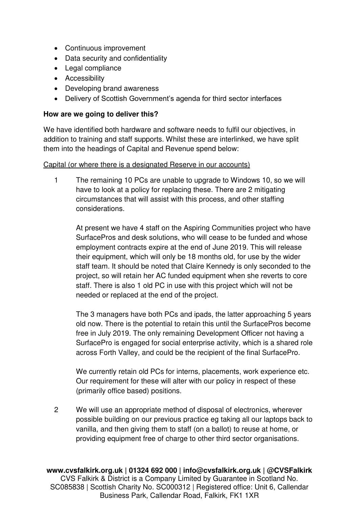- Continuous improvement
- Data security and confidentiality
- Legal compliance
- **•** Accessibility
- Developing brand awareness
- Delivery of Scottish Government's agenda for third sector interfaces

#### **How are we going to deliver this?**

We have identified both hardware and software needs to fulfil our objectives, in addition to training and staff supports. Whilst these are interlinked, we have split them into the headings of Capital and Revenue spend below:

#### Capital (or where there is a designated Reserve in our accounts)

1 The remaining 10 PCs are unable to upgrade to Windows 10, so we will have to look at a policy for replacing these. There are 2 mitigating circumstances that will assist with this process, and other staffing considerations.

At present we have 4 staff on the Aspiring Communities project who have SurfacePros and desk solutions, who will cease to be funded and whose employment contracts expire at the end of June 2019. This will release their equipment, which will only be 18 months old, for use by the wider staff team. It should be noted that Claire Kennedy is only seconded to the project, so will retain her AC funded equipment when she reverts to core staff. There is also 1 old PC in use with this project which will not be needed or replaced at the end of the project.

The 3 managers have both PCs and ipads, the latter approaching 5 years old now. There is the potential to retain this until the SurfacePros become free in July 2019. The only remaining Development Officer not having a SurfacePro is engaged for social enterprise activity, which is a shared role across Forth Valley, and could be the recipient of the final SurfacePro.

We currently retain old PCs for interns, placements, work experience etc. Our requirement for these will alter with our policy in respect of these (primarily office based) positions.

2 We will use an appropriate method of disposal of electronics, wherever possible building on our previous practice eg taking all our laptops back to vanilla, and then giving them to staff (on a ballot) to reuse at home, or providing equipment free of charge to other third sector organisations.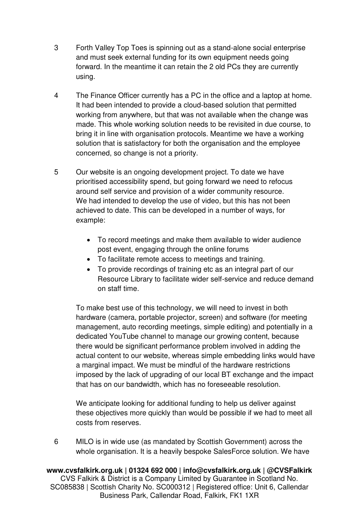- 3 Forth Valley Top Toes is spinning out as a stand-alone social enterprise and must seek external funding for its own equipment needs going forward. In the meantime it can retain the 2 old PCs they are currently using.
- 4 The Finance Officer currently has a PC in the office and a laptop at home. It had been intended to provide a cloud-based solution that permitted working from anywhere, but that was not available when the change was made. This whole working solution needs to be revisited in due course, to bring it in line with organisation protocols. Meantime we have a working solution that is satisfactory for both the organisation and the employee concerned, so change is not a priority.
- 5 Our website is an ongoing development project. To date we have prioritised accessibility spend, but going forward we need to refocus around self service and provision of a wider community resource. We had intended to develop the use of video, but this has not been achieved to date. This can be developed in a number of ways, for example:
	- To record meetings and make them available to wider audience post event, engaging through the online forums
	- To facilitate remote access to meetings and training.
	- To provide recordings of training etc as an integral part of our Resource Library to facilitate wider self-service and reduce demand on staff time.

To make best use of this technology, we will need to invest in both hardware (camera, portable projector, screen) and software (for meeting management, auto recording meetings, simple editing) and potentially in a dedicated YouTube channel to manage our growing content, because there would be significant performance problem involved in adding the actual content to our website, whereas simple embedding links would have a marginal impact. We must be mindful of the hardware restrictions imposed by the lack of upgrading of our local BT exchange and the impact that has on our bandwidth, which has no foreseeable resolution.

We anticipate looking for additional funding to help us deliver against these objectives more quickly than would be possible if we had to meet all costs from reserves.

6 MILO is in wide use (as mandated by Scottish Government) across the whole organisation. It is a heavily bespoke SalesForce solution. We have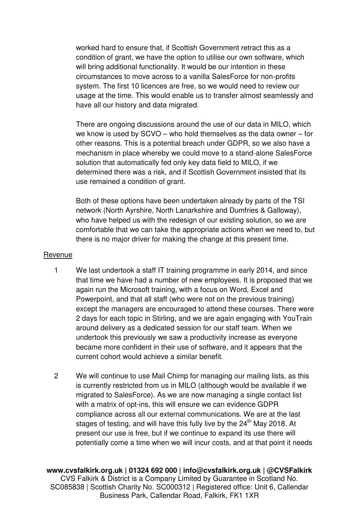worked hard to ensure that, if Scottish Government retract this as a condition of grant, we have the option to utilise our own software, which will bring additional functionality. It would be our intention in these circumstances to move across to a vanilla SalesForce for non-profits system. The first 10 licences are free, so we would need to review our usage at the time. This would enable us to transfer almost seamlessly and have all our history and data migrated.

There are ongoing discussions around the use of our data in MILO, which we know is used by SCVO – who hold themselves as the data owner – for other reasons. This is a potential breach under GDPR, so we also have a mechanism in place whereby we could move to a stand-alone SalesForce solution that automatically fed only key data field to MILO, if we determined there was a risk, and if Scottish Government insisted that its use remained a condition of grant.

Both of these options have been undertaken already by parts of the TSI network (North Ayrshire, North Lanarkshire and Dumfries & Galloway), who have helped us with the redesign of our existing solution, so we are comfortable that we can take the appropriate actions when we need to, but there is no major driver for making the change at this present time.

#### Revenue

- 1 We last undertook a staff IT training programme in early 2014, and since that time we have had a number of new employees. It is proposed that we again run the Microsoft training, with a focus on Word, Excel and Powerpoint, and that all staff (who were not on the previous training) except the managers are encouraged to attend these courses. There were 2 days for each topic in Stirling, and we are again engaging with YouTrain around delivery as a dedicated session for our staff team. When we undertook this previously we saw a productivity increase as everyone became more confident in their use of software, and it appears that the current cohort would achieve a similar benefit.
- 2 We will continue to use Mail Chimp for managing our mailing lists, as this is currently restricted from us in MILO (although would be available if we migrated to SalesForce). As we are now managing a single contact list with a matrix of opt-ins, this will ensure we can evidence GDPR compliance across all our external communications. We are at the last stages of testing, and will have this fully live by the  $24<sup>th</sup>$  May 2018. At present our use is free, but if we continue to expand its use there will potentially come a time when we will incur costs, and at that point it needs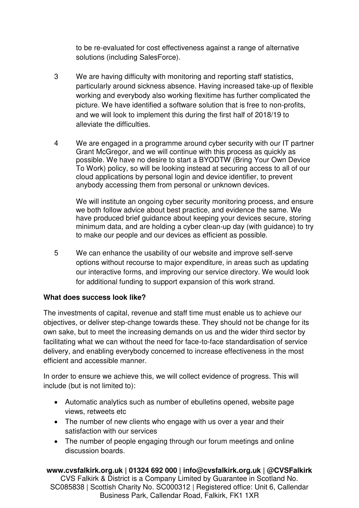to be re-evaluated for cost effectiveness against a range of alternative solutions (including SalesForce).

- 3 We are having difficulty with monitoring and reporting staff statistics, particularly around sickness absence. Having increased take-up of flexible working and everybody also working flexitime has further complicated the picture. We have identified a software solution that is free to non-profits, and we will look to implement this during the first half of 2018/19 to alleviate the difficulties.
- 4 We are engaged in a programme around cyber security with our IT partner Grant McGregor, and we will continue with this process as quickly as possible. We have no desire to start a BYODTW (Bring Your Own Device To Work) policy, so will be looking instead at securing access to all of our cloud applications by personal login and device identifier, to prevent anybody accessing them from personal or unknown devices.

We will institute an ongoing cyber security monitoring process, and ensure we both follow advice about best practice, and evidence the same. We have produced brief guidance about keeping your devices secure, storing minimum data, and are holding a cyber clean-up day (with guidance) to try to make our people and our devices as efficient as possible.

5 We can enhance the usability of our website and improve self-serve options without recourse to major expenditure, in areas such as updating our interactive forms, and improving our service directory. We would look for additional funding to support expansion of this work strand.

### **What does success look like?**

The investments of capital, revenue and staff time must enable us to achieve our objectives, or deliver step-change towards these. They should not be change for its own sake, but to meet the increasing demands on us and the wider third sector by facilitating what we can without the need for face-to-face standardisation of service delivery, and enabling everybody concerned to increase effectiveness in the most efficient and accessible manner.

In order to ensure we achieve this, we will collect evidence of progress. This will include (but is not limited to):

- Automatic analytics such as number of ebulletins opened, website page views, retweets etc
- The number of new clients who engage with us over a year and their satisfaction with our services
- The number of people engaging through our forum meetings and online discussion boards.